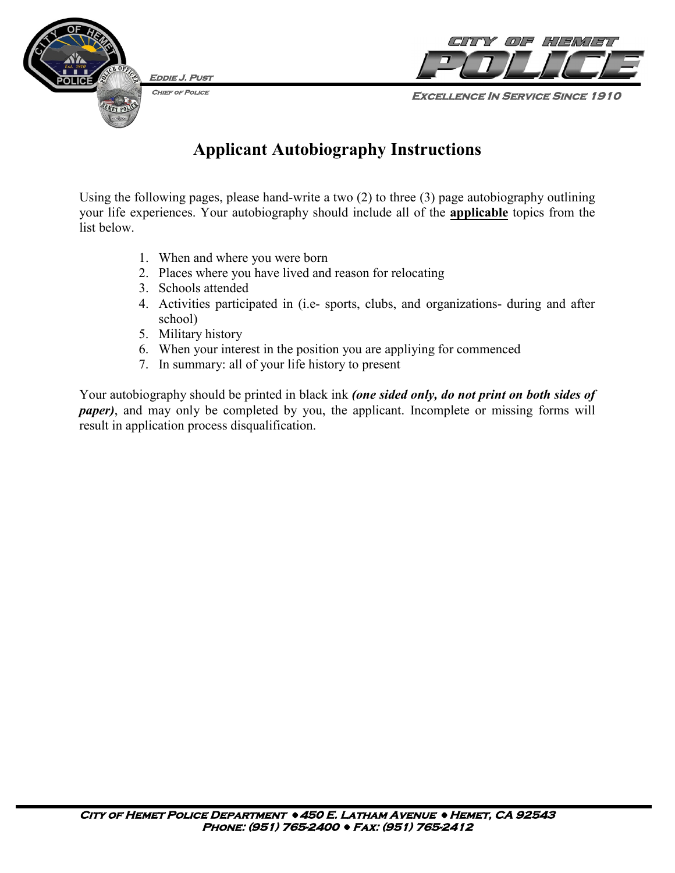



**Excellence In Service Since 1910** 

## **Applicant Autobiography Instructions**

Using the following pages, please hand-write a two (2) to three (3) page autobiography outlining your life experiences. Your autobiography should include all of the **applicable** topics from the list below.

- 1. When and where you were born
- 2. Places where you have lived and reason for relocating
- 3. Schools attended
- 4. Activities participated in (i.e- sports, clubs, and organizations- during and after school)
- 5. Military history
- 6. When your interest in the position you are appliying for commenced
- 7. In summary: all of your life history to present

Your autobiography should be printed in black ink *(one sided only, do not print on both sides of paper*), and may only be completed by you, the applicant. Incomplete or missing forms will result in application process disqualification.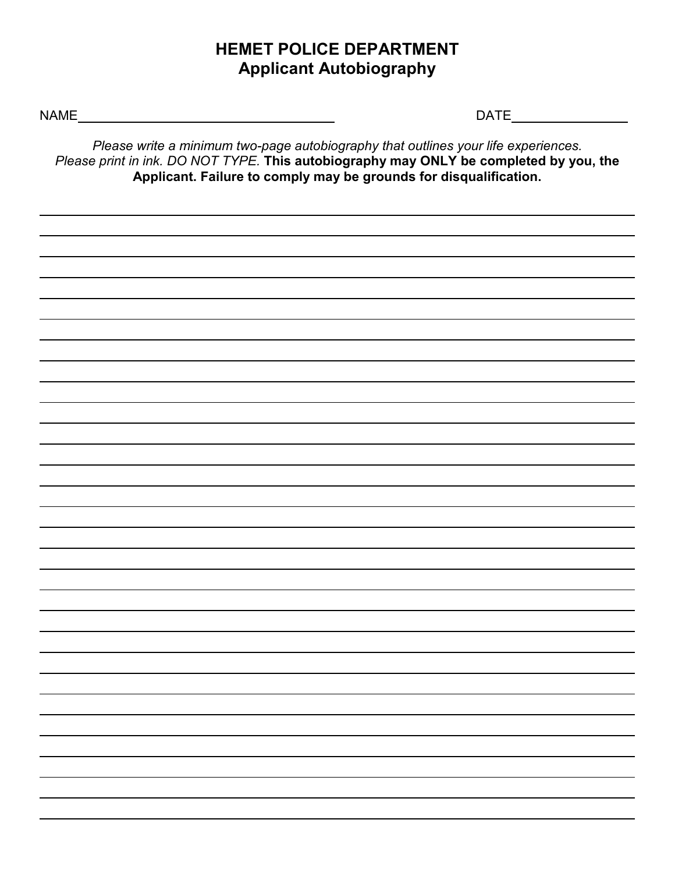## **HEMET POLICE DEPARTMENT Applicant Autobiography**

NAME DATE

*Please write a minimum two-page autobiography that outlines your life experiences. Please print in ink. DO NOT TYPE.* **This autobiography may ONLY be completed by you, the Applicant. Failure to comply may be grounds for disqualification.**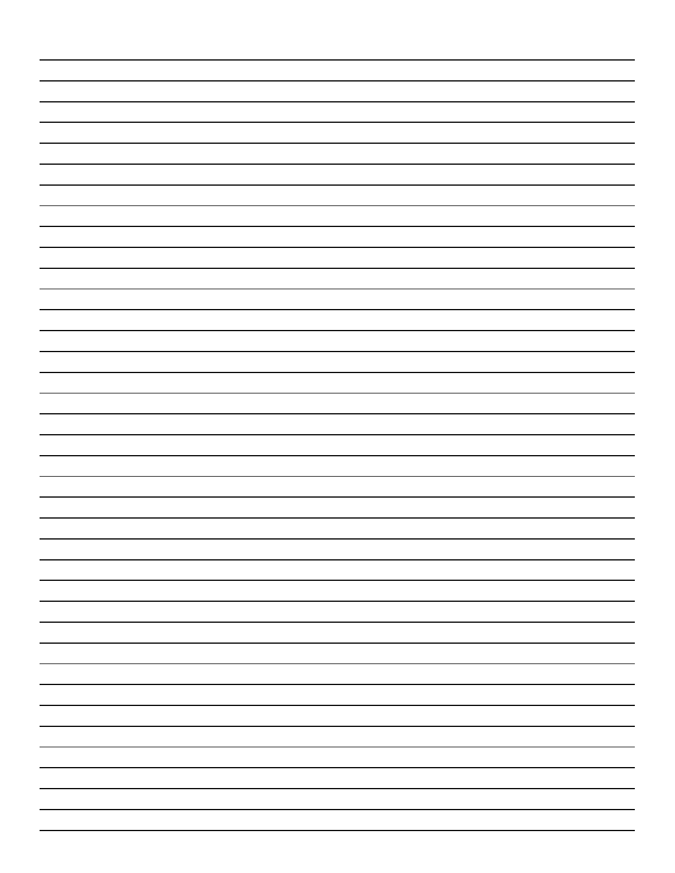